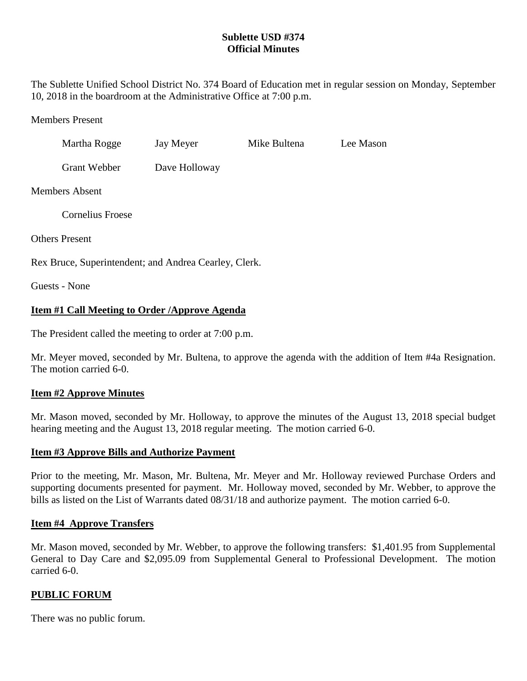# **Sublette USD #374 Official Minutes**

The Sublette Unified School District No. 374 Board of Education met in regular session on Monday, September 10, 2018 in the boardroom at the Administrative Office at 7:00 p.m.

### Members Present

| Martha Rogge        | Jay Meyer     | Mike Bultena | Lee Mason |
|---------------------|---------------|--------------|-----------|
| <b>Grant Webber</b> | Dave Holloway |              |           |

### Members Absent

Cornelius Froese

Others Present

Rex Bruce, Superintendent; and Andrea Cearley, Clerk.

Guests - None

## **Item #1 Call Meeting to Order /Approve Agenda**

The President called the meeting to order at 7:00 p.m.

Mr. Meyer moved, seconded by Mr. Bultena, to approve the agenda with the addition of Item #4a Resignation. The motion carried 6-0.

### **Item #2 Approve Minutes**

Mr. Mason moved, seconded by Mr. Holloway, to approve the minutes of the August 13, 2018 special budget hearing meeting and the August 13, 2018 regular meeting. The motion carried 6-0.

### **Item #3 Approve Bills and Authorize Payment**

Prior to the meeting, Mr. Mason, Mr. Bultena, Mr. Meyer and Mr. Holloway reviewed Purchase Orders and supporting documents presented for payment. Mr. Holloway moved, seconded by Mr. Webber, to approve the bills as listed on the List of Warrants dated 08/31/18 and authorize payment. The motion carried 6-0.

### **Item #4 Approve Transfers**

Mr. Mason moved, seconded by Mr. Webber, to approve the following transfers: \$1,401.95 from Supplemental General to Day Care and \$2,095.09 from Supplemental General to Professional Development. The motion carried 6-0.

### **PUBLIC FORUM**

There was no public forum.